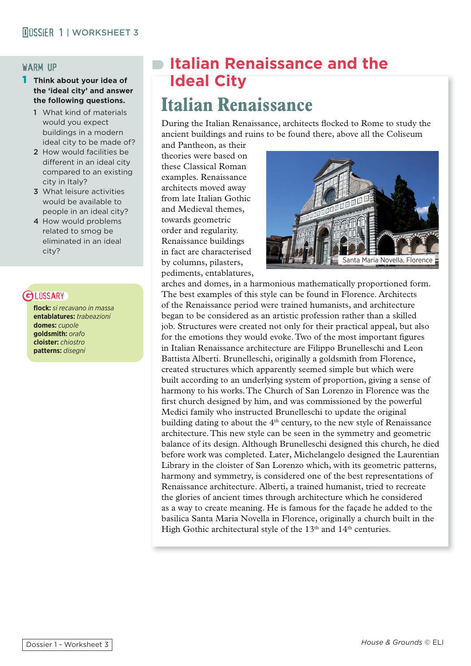#### warm up

- 1 **Think about your idea of the 'ideal city' and answer the following questions.** 
	- 1 What kind of materials would you expect buildings in a modern ideal city to be made of?
	- 2 How would facilities be different in an ideal city compared to an existing city in Italy?
	- 3 What leisure activities would be available to people in an ideal city?
	- 4 How would problems related to smog be eliminated in an ideal city?

# **GLOSSARY**

**fl ock:** *si recavano in massa* **entablatures:** *trabeazioni* **domes:** *cupole* **goldsmith:** *orafo* **cloister:** *chiostro* **patterns:** *disegni*

# **Italian Renaissance and the Ideal City**

# **Italian Renaissance**

During the Italian Renaissance, architects flocked to Rome to study the ancient buildings and ruins to be found there, above all the Coliseum

and Pantheon, as their theories were based on these Classical Roman examples. Renaissance architects moved away from late Italian Gothic and Medieval themes, towards geometric order and regularity. Renaissance buildings in fact are characterised by columns, pilasters, pediments, entablatures,



arches and domes, in a harmonious mathematically proportioned form. The best examples of this style can be found in Florence. Architects of the Renaissance period were trained humanists, and architecture began to be considered as an artistic profession rather than a skilled job. Structures were created not only for their practical appeal, but also for the emotions they would evoke. Two of the most important figures in Italian Renaissance architecture are Filippo Brunelleschi and Leon Battista Alberti. Brunelleschi, originally a goldsmith from Florence, created structures which apparently seemed simple but which were built according to an underlying system of proportion, giving a sense of harmony to his works. The Church of San Lorenzo in Florence was the first church designed by him, and was commissioned by the powerful Medici family who instructed Brunelleschi to update the original building dating to about the  $4<sup>th</sup>$  century, to the new style of Renaissance architecture. This new style can be seen in the symmetry and geometric balance of its design. Although Brunelleschi designed this church, he died before work was completed. Later, Michelangelo designed the Laurentian Library in the cloister of San Lorenzo which, with its geometric patterns, harmony and symmetry, is considered one of the best representations of Renaissance architecture. Alberti, a trained humanist, tried to recreate the glories of ancient times through architecture which he considered as a way to create meaning. He is famous for the façade he added to the basilica Santa Maria Novella in Florence, originally a church built in the High Gothic architectural style of the  $13<sup>th</sup>$  and  $14<sup>th</sup>$  centuries.